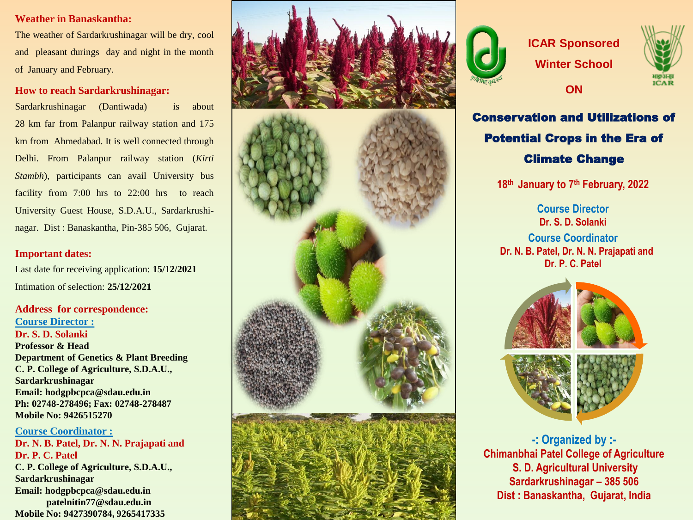# **Weather in Banaskantha :**

The weather of Sardarkrushinagar will be dry, cool and pleasant durings day and night in the month of January and February .

# **How to reach Sardarkrushinagar:**

Sardarkrushinagar (Dantiwada) is about 28 km far from Palanpur railway station and 175 km from Ahmedabad . It is well connected through Delhi . From Palanpur railway station (*Kirti Stambh*), participants can avail University bus facility from 7:00 hrs to 22:00 hrs to reach University Guest House, S.D.A.U., Sardarkrushinagar . Dist : Banaskantha , Pin -385 506 , Gujarat .

# **Important dates:**

Last date for receiving application: **15/12/2021** Intimation of selection: **25/12/2021**

**Address for correspondence: Course Director : Dr. S. D. Solanki Professor & Head Department of Genetics & Plant Breeding C. P. College of Agriculture, S.D.A.U., Sardarkrushinagar Email: hodgpbcpca@sdau.edu.in Ph: 02748 -278496; Fax: 02748 -278487 Mobile No: 9426515270**

**Course Coordinator : Dr. N. B. Patel, Dr. N. N. Prajapati and Dr. P. C. Patel C. P. College of Agriculture, S.D.A.U., Sardarkrushinagar Email: hodgpbcpca@sdau.edu.in** **patelnitin77@sdau.edu.in Mobile No: 9427390784, 9265417335**





# **ICAR Sponsored Winter School**

**ON**



Conservation and Utilizations of Potential Crops in the Era of Climate Change

**18th January to 7th February, 2022**

**Course Director Dr. S. D. Solanki Course Coordinator Dr. N. B. Patel, Dr. N. N. Prajapati and Dr. P. C. Patel** 







**-: Organized by :- Chimanbhai Patel College of Agriculture S. D. Agricultural University Sardarkrushinagar – 385 506 Dist : Banaskantha, Gujarat, India**